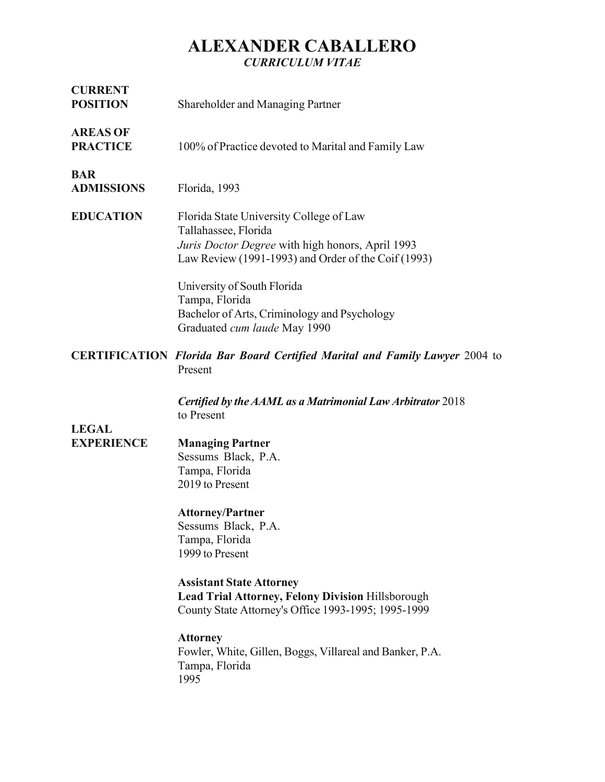### **ALEXANDER CABALLERO** *CURRICULUM VITAE*

| <b>CURRENT</b><br><b>POSITION</b>  | <b>Shareholder and Managing Partner</b>                                                                                                                                                                                                                                                                                                                                                                                       |
|------------------------------------|-------------------------------------------------------------------------------------------------------------------------------------------------------------------------------------------------------------------------------------------------------------------------------------------------------------------------------------------------------------------------------------------------------------------------------|
| <b>AREAS OF</b><br><b>PRACTICE</b> | 100% of Practice devoted to Marital and Family Law                                                                                                                                                                                                                                                                                                                                                                            |
| <b>BAR</b><br><b>ADMISSIONS</b>    | Florida, 1993                                                                                                                                                                                                                                                                                                                                                                                                                 |
| <b>EDUCATION</b>                   | Florida State University College of Law<br>Tallahassee, Florida<br>Juris Doctor Degree with high honors, April 1993<br>Law Review (1991-1993) and Order of the Coif (1993)<br>University of South Florida<br>Tampa, Florida<br>Bachelor of Arts, Criminology and Psychology<br>Graduated cum laude May 1990                                                                                                                   |
|                                    | <b>CERTIFICATION Florida Bar Board Certified Marital and Family Lawyer 2004 to</b><br>Present<br>Certified by the AAML as a Matrimonial Law Arbitrator 2018                                                                                                                                                                                                                                                                   |
| <b>LEGAL</b><br><b>EXPERIENCE</b>  | to Present<br><b>Managing Partner</b><br>Sessums Black, P.A.<br>Tampa, Florida<br>2019 to Present<br><b>Attorney/Partner</b><br>Sessums Black, P.A.<br>Tampa, Florida<br>1999 to Present<br><b>Assistant State Attorney</b><br><b>Lead Trial Attorney, Felony Division Hillsborough</b><br>County State Attorney's Office 1993-1995; 1995-1999<br><b>Attorney</b><br>Fowler, White, Gillen, Boggs, Villareal and Banker, P.A. |
|                                    | Tampa, Florida<br>1995                                                                                                                                                                                                                                                                                                                                                                                                        |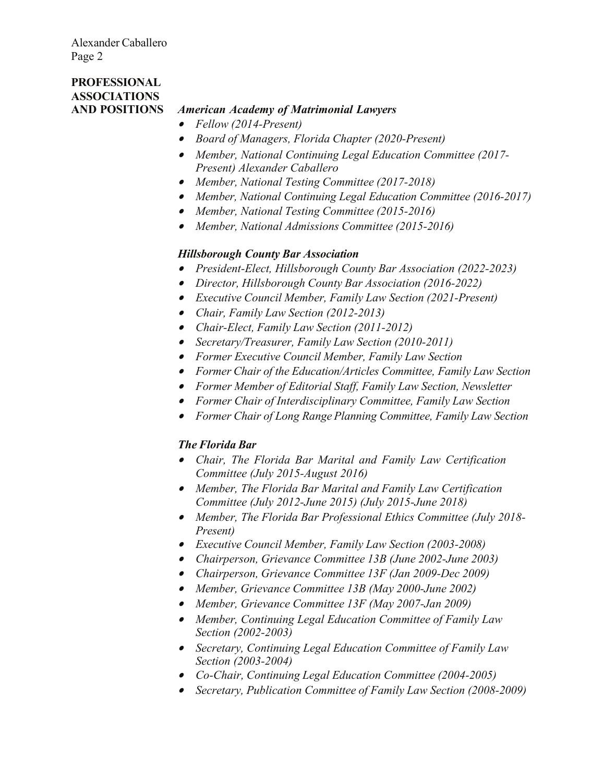### **PROFESSIONAL ASSOCIATIONS**

#### **AND POSITIONS** *American Academy of Matrimonial Lawyers*

- *Fellow (2014-Present)*
- *Board of Managers, Florida Chapter (2020-Present)*
- *Member, National Continuing Legal Education Committee (2017- Present) Alexander Caballero*
- *Member, National Testing Committee (2017-2018)*
- *Member, National Continuing Legal Education Committee (2016-2017)*
- *Member, National Testing Committee (2015-2016)*
- *Member, National Admissions Committee (2015-2016)*

#### *Hillsborough County Bar Association*

- *President-Elect, Hillsborough County Bar Association (2022-2023)*
- *Director, Hillsborough County Bar Association (2016-2022)*
- *Executive Council Member, Family Law Section (2021-Present)*
- *Chair, Family Law Section (2012-2013)*
- *Chair-Elect, Family Law Section (2011-2012)*
- *Secretary/Treasurer, Family Law Section (2010-2011)*
- *Former Executive Council Member, Family Law Section*
- *Former Chair of the Education/Articles Committee, Family Law Section*
- *Former Member of Editorial Staff, Family Law Section, Newsletter*
- *Former Chair of Interdisciplinary Committee, Family Law Section*
- *Former Chair of Long Range Planning Committee, Family Law Section*

#### *The Florida Bar*

- *Chair, The Florida Bar Marital and Family Law Certification Committee (July 2015-August 2016)*
- *Member, The Florida Bar Marital and Family Law Certification Committee (July 2012-June 2015) (July 2015-June 2018)*
- *Member, The Florida Bar Professional Ethics Committee (July 2018- Present)*
- *Executive Council Member, Family Law Section (2003-2008)*
- *Chairperson, Grievance Committee 13B (June 2002-June 2003)*
- *Chairperson, Grievance Committee 13F (Jan 2009-Dec 2009)*
- *Member, Grievance Committee 13B (May 2000-June 2002)*
- *Member, Grievance Committee 13F (May 2007-Jan 2009)*
- *Member, Continuing Legal Education Committee of Family Law Section (2002-2003)*
- *Secretary, Continuing Legal Education Committee of Family Law Section (2003-2004)*
- *Co-Chair, Continuing Legal Education Committee (2004-2005)*
- *Secretary, Publication Committee of Family Law Section (2008-2009)*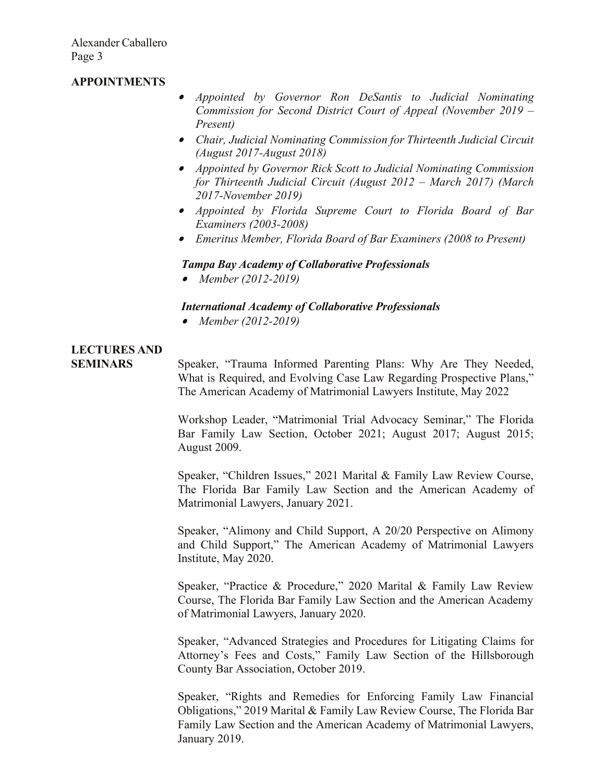#### **APPOINTMENTS**

- *Appointed by Governor Ron DeSantis to Judicial Nominating Commission for Second District Court of Appeal (November 2019 – Present)*
- *Chair, Judicial Nominating Commission for Thirteenth Judicial Circuit (August 2017-August 2018)*
- *Appointed by Governor Rick Scott to Judicial Nominating Commission for Thirteenth Judicial Circuit (August 2012 – March 2017) (March 2017-November 2019)*
- *Appointed by Florida Supreme Court to Florida Board of Bar Examiners (2003-2008)*
- *Emeritus Member, Florida Board of Bar Examiners (2008 to Present)*

#### *Tampa Bay Academy of Collaborative Professionals*

• *Member (2012-2019)*

#### *International Academy of Collaborative Professionals*

• *Member (2012-2019)*

# **LECTURES AND**

**SEMINARS** Speaker, "Trauma Informed Parenting Plans: Why Are They Needed, What is Required, and Evolving Case Law Regarding Prospective Plans," The American Academy of Matrimonial Lawyers Institute, May 2022

> Workshop Leader, "Matrimonial Trial Advocacy Seminar," The Florida Bar Family Law Section, October 2021; August 2017; August 2015; August 2009.

> Speaker, "Children Issues," 2021 Marital & Family Law Review Course, The Florida Bar Family Law Section and the American Academy of Matrimonial Lawyers, January 2021.

> Speaker, "Alimony and Child Support, A 20/20 Perspective on Alimony and Child Support," The American Academy of Matrimonial Lawyers Institute, May 2020.

> Speaker, "Practice & Procedure," 2020 Marital & Family Law Review Course, The Florida Bar Family Law Section and the American Academy of Matrimonial Lawyers, January 2020.

> Speaker, "Advanced Strategies and Procedures for Litigating Claims for Attorney's Fees and Costs," Family Law Section of the Hillsborough County Bar Association, October 2019.

> Speaker, "Rights and Remedies for Enforcing Family Law Financial Obligations," 2019 Marital & Family Law Review Course, The Florida Bar Family Law Section and the American Academy of Matrimonial Lawyers, January 2019.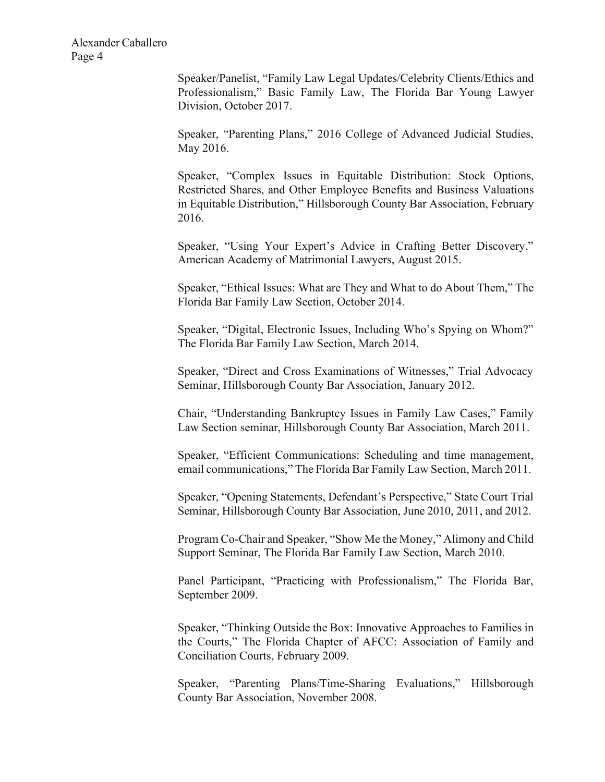> Speaker/Panelist, "Family Law Legal Updates/Celebrity Clients/Ethics and Professionalism," Basic Family Law, The Florida Bar Young Lawyer Division, October 2017.

> Speaker, "Parenting Plans," 2016 College of Advanced Judicial Studies, May 2016.

> Speaker, "Complex Issues in Equitable Distribution: Stock Options, Restricted Shares, and Other Employee Benefits and Business Valuations in Equitable Distribution," Hillsborough County Bar Association, February 2016.

> Speaker, "Using Your Expert's Advice in Crafting Better Discovery," American Academy of Matrimonial Lawyers, August 2015.

> Speaker, "Ethical Issues: What are They and What to do About Them," The Florida Bar Family Law Section, October 2014.

> Speaker, "Digital, Electronic Issues, Including Who's Spying on Whom?" The Florida Bar Family Law Section, March 2014.

> Speaker, "Direct and Cross Examinations of Witnesses," Trial Advocacy Seminar, Hillsborough County Bar Association, January 2012.

> Chair, "Understanding Bankruptcy Issues in Family Law Cases," Family Law Section seminar, Hillsborough County Bar Association, March 2011.

> Speaker, "Efficient Communications: Scheduling and time management, email communications," The Florida Bar Family Law Section, March 2011.

> Speaker, "Opening Statements, Defendant's Perspective," State Court Trial Seminar, Hillsborough County Bar Association, June 2010, 2011, and 2012.

> Program Co-Chair and Speaker, "Show Me the Money," Alimony and Child Support Seminar, The Florida Bar Family Law Section, March 2010.

> Panel Participant, "Practicing with Professionalism," The Florida Bar, September 2009.

> Speaker, "Thinking Outside the Box: Innovative Approaches to Families in the Courts," The Florida Chapter of AFCC: Association of Family and Conciliation Courts, February 2009.

> Speaker, "Parenting Plans/Time-Sharing Evaluations," Hillsborough County Bar Association, November 2008.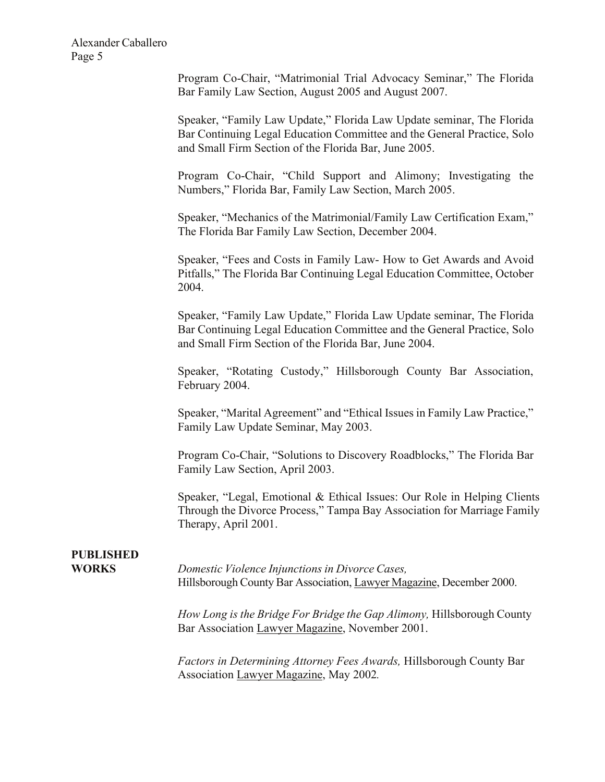> Program Co-Chair, "Matrimonial Trial Advocacy Seminar," The Florida Bar Family Law Section, August 2005 and August 2007.

> Speaker, "Family Law Update," Florida Law Update seminar, The Florida Bar Continuing Legal Education Committee and the General Practice, Solo and Small Firm Section of the Florida Bar, June 2005.

> Program Co-Chair, "Child Support and Alimony; Investigating the Numbers," Florida Bar, Family Law Section, March 2005.

> Speaker, "Mechanics of the Matrimonial/Family Law Certification Exam," The Florida Bar Family Law Section, December 2004.

> Speaker, "Fees and Costs in Family Law- How to Get Awards and Avoid Pitfalls," The Florida Bar Continuing Legal Education Committee, October 2004.

> Speaker, "Family Law Update," Florida Law Update seminar, The Florida Bar Continuing Legal Education Committee and the General Practice, Solo and Small Firm Section of the Florida Bar, June 2004.

> Speaker, "Rotating Custody," Hillsborough County Bar Association, February 2004.

> Speaker, "Marital Agreement" and "Ethical Issues in Family Law Practice," Family Law Update Seminar, May 2003.

> Program Co-Chair, "Solutions to Discovery Roadblocks," The Florida Bar Family Law Section, April 2003.

Speaker, "Legal, Emotional & Ethical Issues: Our Role in Helping Clients Through the Divorce Process," Tampa Bay Association for Marriage Family Therapy, April 2001.

## **PUBLISHED**

**WORKS** *Domestic Violence Injunctions in Divorce Cases,* Hillsborough County Bar Association, Lawyer Magazine, December 2000.

> *How Long is the Bridge For Bridge the Gap Alimony,* Hillsborough County Bar Association Lawyer Magazine, November 2001.

*Factors in Determining Attorney Fees Awards,* Hillsborough County Bar Association Lawyer Magazine, May 2002*.*